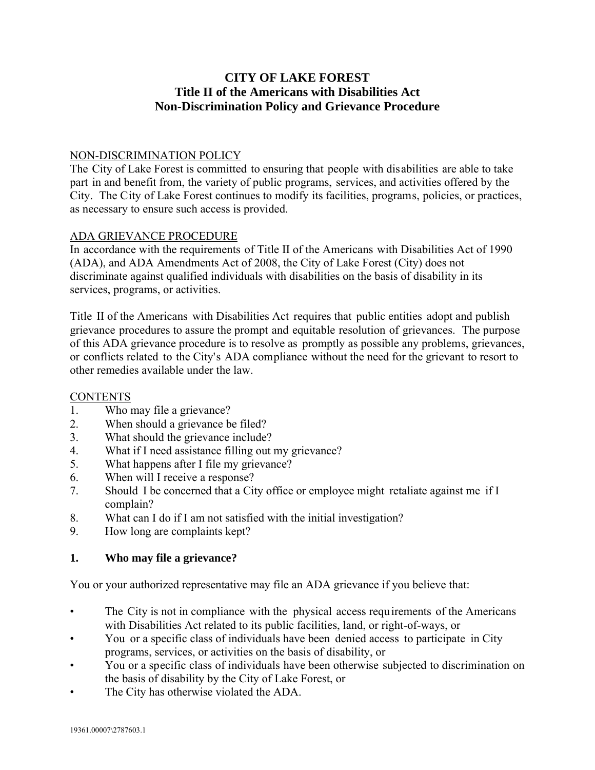# **CITY OF LAKE FOREST Title II of the Americans with Disabilities Act Non-Discrimination Policy and Grievance Procedure**

#### NON-DISCRIMINATION POLICY

The City of Lake Forest is committed to ensuring that people with disabilities are able to take part in and benefit from, the variety of public programs, services, and activities offered by the City. The City of Lake Forest continues to modify its facilities, programs, policies, or practices, as necessary to ensure such access is provided.

#### ADA GRIEVANCE PROCEDURE

In accordance with the requirements of Title II of the Americans with Disabilities Act of 1990 (ADA), and ADA Amendments Act of 2008, the City of Lake Forest (City) does not discriminate against qualified individuals with disabilities on the basis of disability in its services, programs, or activities.

Title II of the Americans with Disabilities Act requires that public entities adopt and publish grievance procedures to assure the prompt and equitable resolution of grievances. The purpose of this ADA grievance procedure is to resolve as promptly as possible any problems, grievances, or conflicts related to the City's ADA compliance without the need for the grievant to resort to other remedies available under the law.

#### **CONTENTS**

- 1. Who may file a grievance?
- 2. When should a grievance be filed?
- 3. What should the grievance include?
- 4. What if I need assistance filling out my grievance?
- 5. What happens after I file my grievance?
- 6. When will I receive a response?
- 7. Should I be concerned that a City office or employee might retaliate against me if I complain?
- 8. What can I do if I am not satisfied with the initial investigation?
- 9. How long are complaints kept?

#### **1. Who may file a grievance?**

You or your authorized representative may file an ADA grievance if you believe that:

- The City is not in compliance with the physical access requirements of the Americans with Disabilities Act related to its public facilities, land, or right-of-ways, or
- You or a specific class of individuals have been denied access to participate in City programs, services, or activities on the basis of disability, or
- You or a specific class of individuals have been otherwise subjected to discrimination on the basis of disability by the City of Lake Forest, or
- The City has otherwise violated the ADA.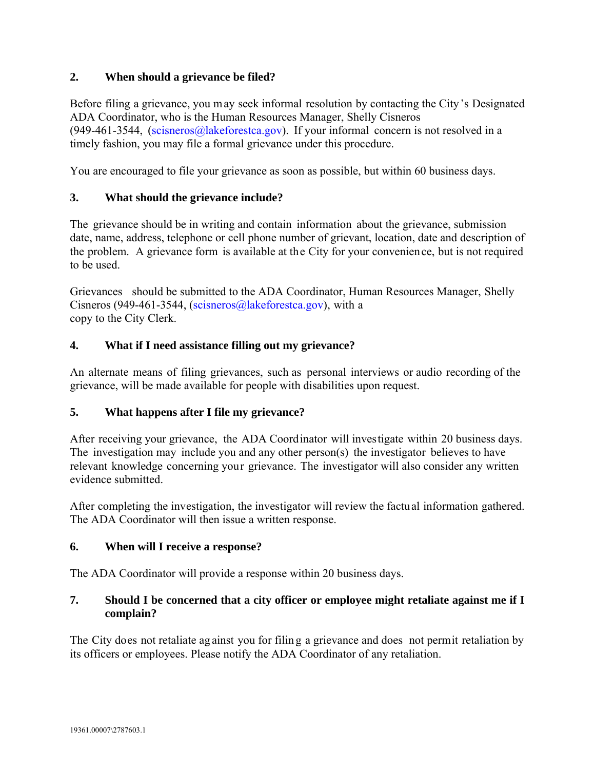### **2. When should a grievance be filed?**

Before filing a grievance, you may seek informal resolution by contacting the City's Designated ADA Coordinator, who is the Human Resources Manager, Shelly Cisneros (949-461-3544, (scisneros[@lakeforestca.go](mailto:drose@lakeforestca.gov)v). If your informal concern is not resolved in a timely fashion, you may file a formal grievance under this procedure.

You are encouraged to file your grievance as soon as possible, but within 60 business days.

## **3. What should the grievance include?**

The grievance should be in writing and contain information about the grievance, submission date, name, address, telephone or cell phone number of grievant, location, date and description of the problem. A grievance form is available at the City for your convenience, but is not required to be used.

Grievances should be submitted to the ADA Coordinator, Human Resources Manager, Shelly Cisneros (949-461-3544, (scisneros[@lakeforestca.gov](mailto:drose@lakeforestca.gov)), with a copy to the City Clerk.

## **4. What if I need assistance filling out my grievance?**

An alternate means of filing grievances, such as personal interviews or audio recording of the grievance, will be made available for people with disabilities upon request.

### **5. What happens after I file my grievance?**

After receiving your grievance, the ADA Coordinator will investigate within 20 business days. The investigation may include you and any other person(s) the investigator believes to have relevant knowledge concerning your grievance. The investigator will also consider any written evidence submitted.

After completing the investigation, the investigator will review the factual information gathered. The ADA Coordinator will then issue a written response.

### **6. When will I receive a response?**

The ADA Coordinator will provide a response within 20 business days.

## **7. Should I be concerned that a city officer or employee might retaliate against me if I complain?**

The City does not retaliate ag ainst you for filin g a grievance and does not permit retaliation by its officers or employees. Please notify the ADA Coordinator of any retaliation.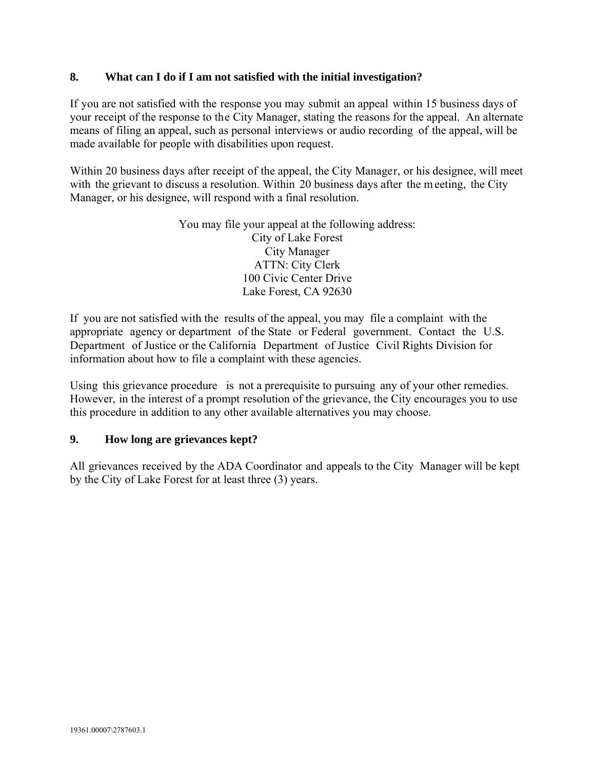#### **8. What can I do if I am not satisfied with the initial investigation?**

If you are not satisfied with the response you may submit an appeal within 15 business days of your receipt of the response to the City Manager, stating the reasons for the appeal. An alternate means of filing an appeal, such as personal interviews or audio recording of the appeal, will be made available for people with disabilities upon request.

Within 20 business days after receipt of the appeal, the City Manager, or his designee, will meet with the grievant to discuss a resolution. Within 20 business days after the meeting, the City Manager, or his designee, will respond with a final resolution.

> You may file your appeal at the following address: City of Lake Forest City Manager ATTN: City Clerk 100 Civic Center Drive Lake Forest, CA 92630

If you are not satisfied with the results of the appeal, you may file a complaint with the appropriate agency or department of the State or Federal government. Contact the U.S. Department of Justice or the California Department of Justice Civil Rights Division for information about how to file a complaint with these agencies.

Using this grievance procedure is not a prerequisite to pursuing any of your other remedies. However, in the interest of a prompt resolution of the grievance, the City encourages you to use this procedure in addition to any other available alternatives you may choose.

#### **9. How long are grievances kept?**

All grievances received by the ADA Coordinator and appeals to the City Manager will be kept by the City of Lake Forest for at least three (3) years.